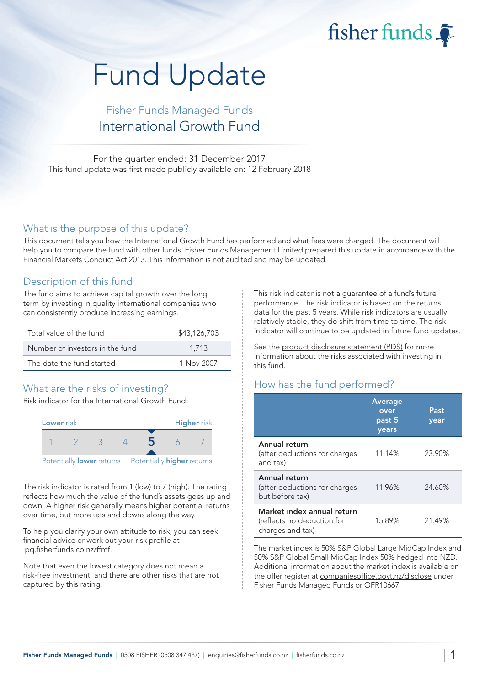fisher funds  $\widehat{\bullet}$ 

# Fund Update

## Fisher Funds Managed Funds International Growth Fund

For the quarter ended: 31 December 2017 This fund update was first made publicly available on: 12 February 2018

#### What is the purpose of this update?

This document tells you how the International Growth Fund has performed and what fees were charged. The document will help you to compare the fund with other funds. Fisher Funds Management Limited prepared this update in accordance with the Financial Markets Conduct Act 2013. This information is not audited and may be updated.

## Description of this fund

The fund aims to achieve capital growth over the long term by investing in quality international companies who can consistently produce increasing earnings.

| Total value of the fund         | \$43,126,703 |
|---------------------------------|--------------|
| Number of investors in the fund | 1.713        |
| The date the fund started       | 1 Nov 2007   |

## What are the risks of investing?

Risk indicator for the International Growth Fund:



The risk indicator is rated from 1 (low) to 7 (high). The rating reflects how much the value of the fund's assets goes up and down. A higher risk generally means higher potential returns over time, but more ups and downs along the way.

To help you clarify your own attitude to risk, you can seek financial advice or work out your risk profile at ipq.fisherfunds.co.nz/ffmf.

Note that even the lowest category does not mean a risk-free investment, and there are other risks that are not captured by this rating.

This risk indicator is not a guarantee of a fund's future performance. The risk indicator is based on the returns data for the past 5 years. While risk indicators are usually relatively stable, they do shift from time to time. The risk indicator will continue to be updated in future fund updates.

See the product disclosure statement (PDS) for more information about the risks associated with investing in this fund.

## How has the fund performed?

|                                                                              | <b>Average</b><br>over<br>past 5<br>years | Past<br>year |
|------------------------------------------------------------------------------|-------------------------------------------|--------------|
| Annual return<br>(after deductions for charges<br>and tax)                   | 11.14%                                    | 23.90%       |
| Annual return<br>(after deductions for charges<br>but before tax)            | 11.96%                                    | 24.60%       |
| Market index annual return<br>(reflects no deduction for<br>charges and tax) | 15.89%                                    | 21.49%       |

The market index is 50% S&P Global Large MidCap Index and 50% S&P Global Small MidCap Index 50% hedged into NZD. Additional information about the market index is available on the offer register at companiesoffice.govt.nz/disclose under Fisher Funds Managed Funds or OFR10667.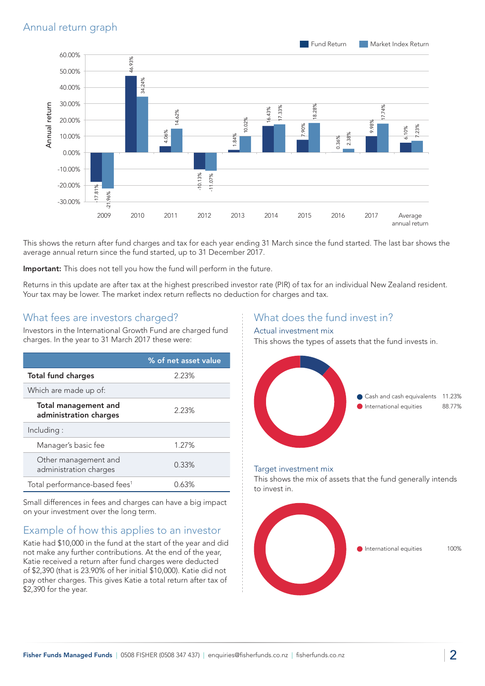

This shows the return after fund charges and tax for each year ending 31 March since the fund started. The last bar shows the average annual return since the fund started, up to 31 December 2017.

Important: This does not tell you how the fund will perform in the future.

Returns in this update are after tax at the highest prescribed investor rate (PIR) of tax for an individual New Zealand resident. Your tax may be lower. The market index return reflects no deduction for charges and tax.

#### What fees are investors charged?

Investors in the International Growth Fund are charged fund charges. In the year to 31 March 2017 these were:

|                                                       | % of net asset value |
|-------------------------------------------------------|----------------------|
| <b>Total fund charges</b>                             | 2.23%                |
| Which are made up of:                                 |                      |
| <b>Total management and</b><br>administration charges | 2.23%                |
| Including:                                            |                      |
| Manager's basic fee                                   | 1.27%                |
| Other management and<br>administration charges        | 0.33%                |
| Total performance-based fees <sup>1</sup>             | 0.63%                |

Small differences in fees and charges can have a big impact on your investment over the long term.

## Example of how this applies to an investor

Katie had \$10,000 in the fund at the start of the year and did not make any further contributions. At the end of the year, Katie received a return after fund charges were deducted of \$2,390 (that is 23.90% of her initial \$10,000). Katie did not pay other charges. This gives Katie a total return after tax of \$2,390 for the year.

## What does the fund invest in?

#### Actual investment mix

This shows the types of assets that the fund invests in.



#### Target investment mix

This shows the mix of assets that the fund generally intends to invest in.